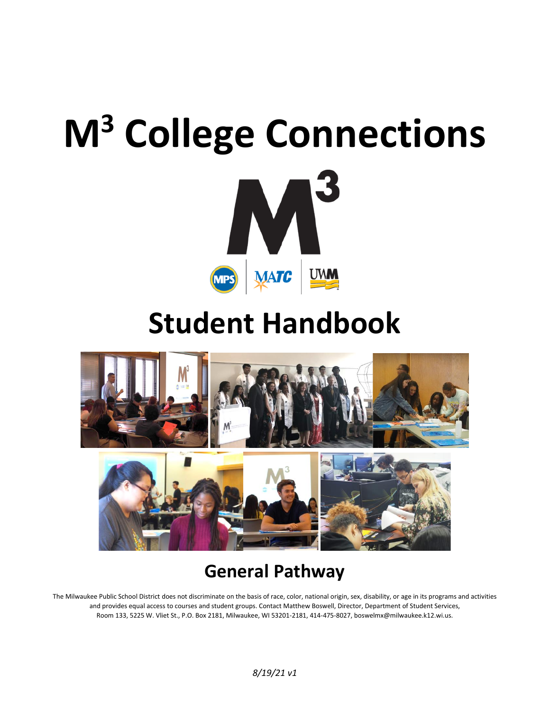# **M<sup>3</sup> College Connections**



# **Student Handbook**



# **General Pathway**

The Milwaukee Public School District does not discriminate on the basis of race, color, national origin, sex, disability, or age in its programs and activities and provides equal access to courses and student groups. Contact Matthew Boswell, Director, Department of Student Services, Room 133, 5225 W. Vliet St., P.O. Box 2181, Milwaukee, WI 53201-2181, 414-475-8027, boswelmx@milwaukee.k12.wi.us.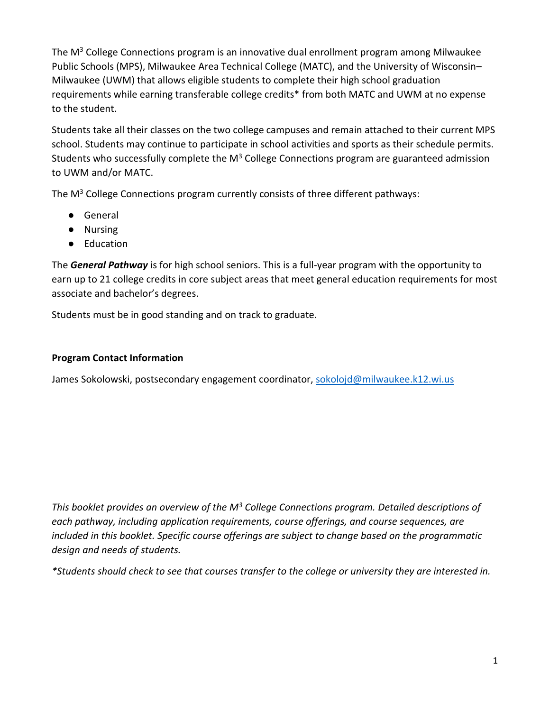The  $M<sup>3</sup>$  College Connections program is an innovative dual enrollment program among Milwaukee Public Schools (MPS), Milwaukee Area Technical College (MATC), and the University of Wisconsin– Milwaukee (UWM) that allows eligible students to complete their high school graduation requirements while earning transferable college credits\* from both MATC and UWM at no expense to the student.

Students take all their classes on the two college campuses and remain attached to their current MPS school. Students may continue to participate in school activities and sports as their schedule permits. Students who successfully complete the  $M<sup>3</sup>$  College Connections program are guaranteed admission to UWM and/or MATC.

The  $M<sup>3</sup>$  College Connections program currently consists of three different pathways:

- General
- Nursing
- Education

The *General Pathway* is for high school seniors. This is a full-year program with the opportunity to earn up to 21 college credits in core subject areas that meet general education requirements for most associate and bachelor's degrees.

Students must be in good standing and on track to graduate.

#### **Program Contact Information**

James Sokolowski, postsecondary engagement coordinator, [sokolojd@milwaukee.k12.wi.us](mailto:sokolojd@milwaukee.k12.wi.us)

*This booklet provides an overview of the M<sup>3</sup> College Connections program. Detailed descriptions of each pathway, including application requirements, course offerings, and course sequences, are included in this booklet. Specific course offerings are subject to change based on the programmatic design and needs of students.*

*\*Students should check to see that courses transfer to the college or university they are interested in.*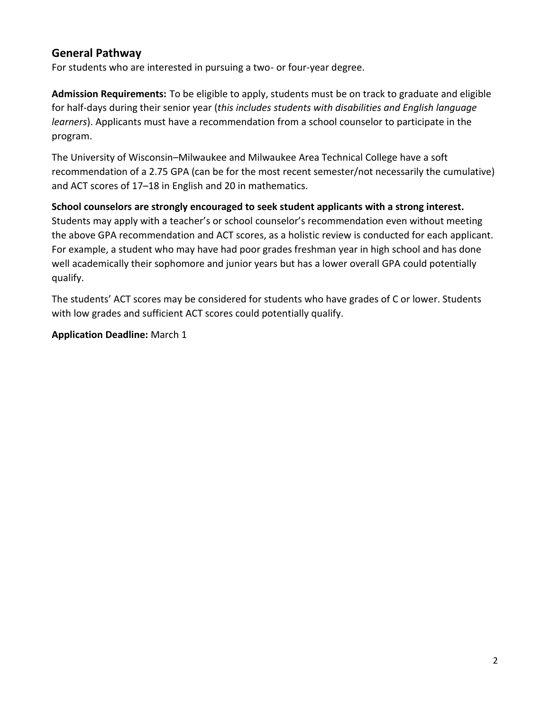#### **General Pathway**

For students who are interested in pursuing a two- or four-year degree.

**Admission Requirements:** To be eligible to apply, students must be on track to graduate and eligible for half-days during their senior year (*this includes students with disabilities and English language learners*). Applicants must have a recommendation from a school counselor to participate in the program.

The University of Wisconsin–Milwaukee and Milwaukee Area Technical College have a soft recommendation of a 2.75 GPA (can be for the most recent semester/not necessarily the cumulative) and ACT scores of 17–18 in English and 20 in mathematics.

#### **School counselors are strongly encouraged to seek student applicants with a strong interest.**

Students may apply with a teacher's or school counselor's recommendation even without meeting the above GPA recommendation and ACT scores, as a holistic review is conducted for each applicant. For example, a student who may have had poor grades freshman year in high school and has done well academically their sophomore and junior years but has a lower overall GPA could potentially qualify.

The students' ACT scores may be considered for students who have grades of C or lower. Students with low grades and sufficient ACT scores could potentially qualify.

**Application Deadline:** March 1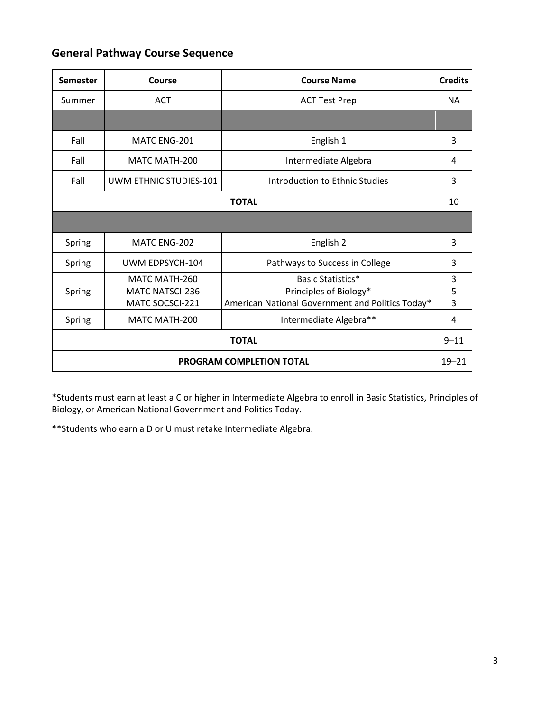#### **General Pathway Course Sequence**

| <b>Semester</b>                 | Course                                                     | <b>Course Name</b>                                                                                     | <b>Credits</b> |  |
|---------------------------------|------------------------------------------------------------|--------------------------------------------------------------------------------------------------------|----------------|--|
| Summer                          | <b>ACT</b>                                                 | <b>ACT Test Prep</b>                                                                                   | NA.            |  |
|                                 |                                                            |                                                                                                        |                |  |
| Fall                            | MATC ENG-201                                               | English 1                                                                                              | 3              |  |
| Fall                            | <b>MATC MATH-200</b>                                       | Intermediate Algebra                                                                                   | 4              |  |
| Fall                            | UWM ETHNIC STUDIES-101                                     | Introduction to Ethnic Studies                                                                         | 3              |  |
| <b>TOTAL</b>                    |                                                            |                                                                                                        |                |  |
|                                 |                                                            |                                                                                                        |                |  |
| Spring                          | MATC ENG-202                                               | English 2                                                                                              | 3              |  |
| Spring                          | UWM EDPSYCH-104                                            | Pathways to Success in College                                                                         | 3              |  |
| Spring                          | MATC MATH-260<br><b>MATC NATSCI-236</b><br>MATC SOCSCI-221 | <b>Basic Statistics*</b><br>Principles of Biology*<br>American National Government and Politics Today* | 3<br>5<br>3    |  |
| Spring                          | MATC MATH-200                                              | Intermediate Algebra**                                                                                 | 4              |  |
| <b>TOTAL</b>                    |                                                            |                                                                                                        |                |  |
| <b>PROGRAM COMPLETION TOTAL</b> |                                                            |                                                                                                        |                |  |

\*Students must earn at least a C or higher in Intermediate Algebra to enroll in Basic Statistics, Principles of Biology, or American National Government and Politics Today.

\*\*Students who earn a D or U must retake Intermediate Algebra.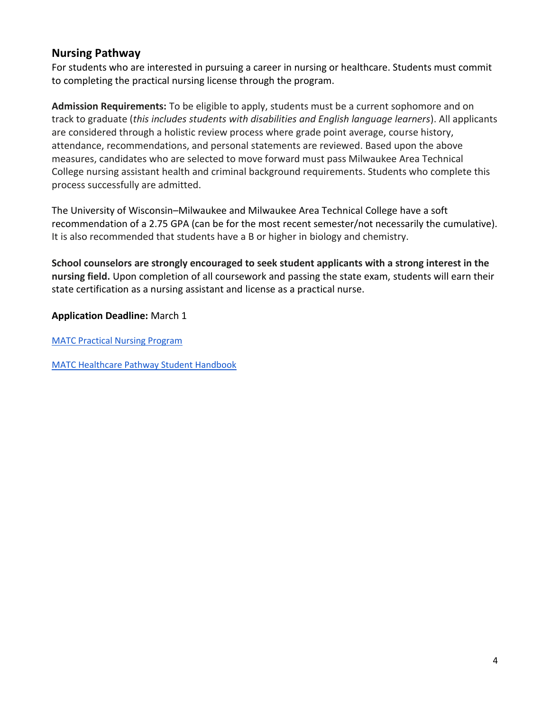#### **Nursing Pathway**

For students who are interested in pursuing a career in nursing or healthcare. Students must commit to completing the practical nursing license through the program.

**Admission Requirements:** To be eligible to apply, students must be a current sophomore and on track to graduate (*this includes students with disabilities and English language learners*). All applicants are considered through a holistic review process where grade point average, course history, attendance, recommendations, and personal statements are reviewed. Based upon the above measures, candidates who are selected to move forward must pass Milwaukee Area Technical College nursing assistant health and criminal background requirements. Students who complete this process successfully are admitted.

The University of Wisconsin–Milwaukee and Milwaukee Area Technical College have a soft recommendation of a 2.75 GPA (can be for the most recent semester/not necessarily the cumulative). It is also recommended that students have a B or higher in biology and chemistry.

**School counselors are strongly encouraged to seek student applicants with a strong interest in the nursing field.** Upon completion of all coursework and passing the state exam, students will earn their state certification as a nursing assistant and license as a practical nurse.

**Application Deadline:** March 1

[MATC Practical Nursing Program](https://www.matc.edu/course-catalog/healthcare/practical-nursing.html)

[MATC Healthcare Pathway Student Handbook](https://www.matc.edu/course-catalog/healthcare/documents/health_sciences_handbook.pdf)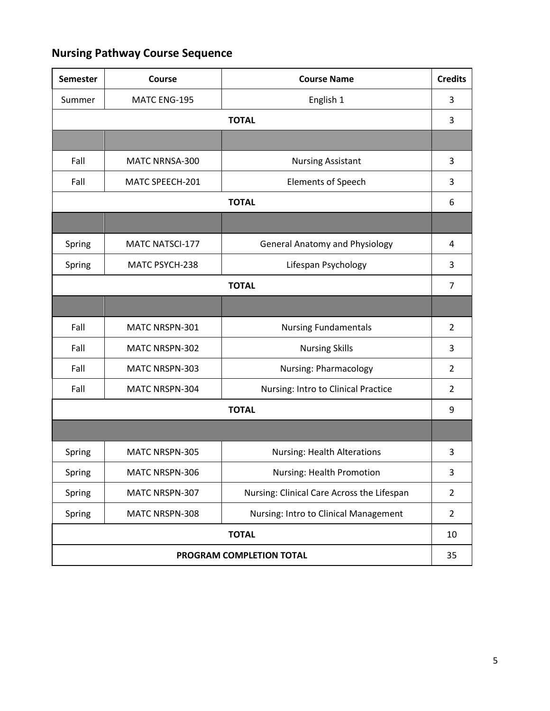### **Nursing Pathway Course Sequence**

| <b>Semester</b>          | Course                 | <b>Course Name</b>                         | <b>Credits</b> |  |
|--------------------------|------------------------|--------------------------------------------|----------------|--|
| Summer                   | MATC ENG-195           | English 1                                  | 3              |  |
| <b>TOTAL</b>             |                        |                                            |                |  |
|                          |                        |                                            |                |  |
| Fall                     | MATC NRNSA-300         | <b>Nursing Assistant</b>                   | 3              |  |
| Fall                     | MATC SPEECH-201        | <b>Elements of Speech</b>                  | 3              |  |
| <b>TOTAL</b>             |                        |                                            |                |  |
|                          |                        |                                            |                |  |
| Spring                   | <b>MATC NATSCI-177</b> | <b>General Anatomy and Physiology</b>      | 4              |  |
| Spring                   | MATC PSYCH-238         | Lifespan Psychology                        | 3              |  |
| <b>TOTAL</b>             |                        |                                            |                |  |
|                          |                        |                                            |                |  |
| Fall                     | MATC NRSPN-301         | <b>Nursing Fundamentals</b>                | $\overline{2}$ |  |
| Fall                     | MATC NRSPN-302         | <b>Nursing Skills</b>                      | 3              |  |
| Fall                     | MATC NRSPN-303         | <b>Nursing: Pharmacology</b>               | $\overline{2}$ |  |
| Fall                     | MATC NRSPN-304         | Nursing: Intro to Clinical Practice        | $\overline{2}$ |  |
| <b>TOTAL</b>             |                        |                                            |                |  |
|                          |                        |                                            |                |  |
| Spring                   | MATC NRSPN-305         | <b>Nursing: Health Alterations</b>         | 3              |  |
| Spring                   | MATC NRSPN-306         | Nursing: Health Promotion                  | 3              |  |
| Spring                   | MATC NRSPN-307         | Nursing: Clinical Care Across the Lifespan | $\overline{2}$ |  |
| Spring                   | MATC NRSPN-308         | Nursing: Intro to Clinical Management      | $\overline{2}$ |  |
| <b>TOTAL</b>             |                        |                                            |                |  |
| PROGRAM COMPLETION TOTAL |                        |                                            |                |  |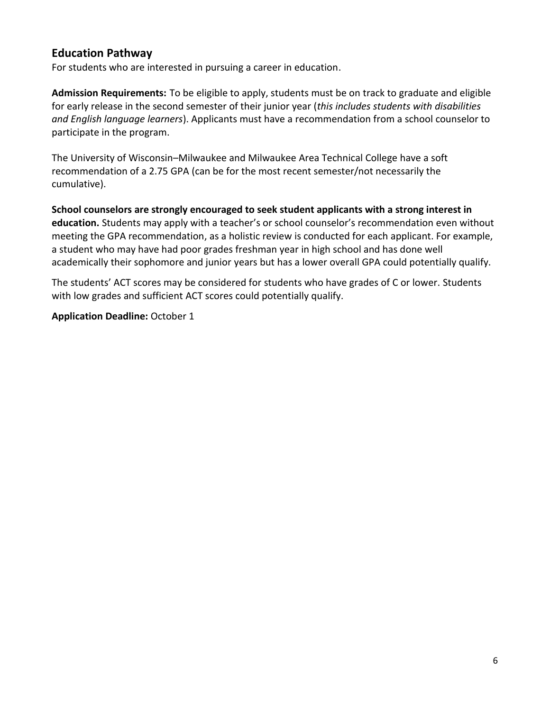#### **Education Pathway**

For students who are interested in pursuing a career in education.

**Admission Requirements:** To be eligible to apply, students must be on track to graduate and eligible for early release in the second semester of their junior year (*this includes students with disabilities and English language learners*). Applicants must have a recommendation from a school counselor to participate in the program. 

The University of Wisconsin–Milwaukee and Milwaukee Area Technical College have a soft recommendation of a 2.75 GPA (can be for the most recent semester/not necessarily the cumulative). 

**School counselors are strongly encouraged to seek student applicants with a strong interest in education.** Students may apply with a teacher's or school counselor's recommendation even without meeting the GPA recommendation, as a holistic review is conducted for each applicant. For example, a student who may have had poor grades freshman year in high school and has done well academically their sophomore and junior years but has a lower overall GPA could potentially qualify. 

The students' ACT scores may be considered for students who have grades of C or lower. Students with low grades and sufficient ACT scores could potentially qualify.

**Application Deadline:** October 1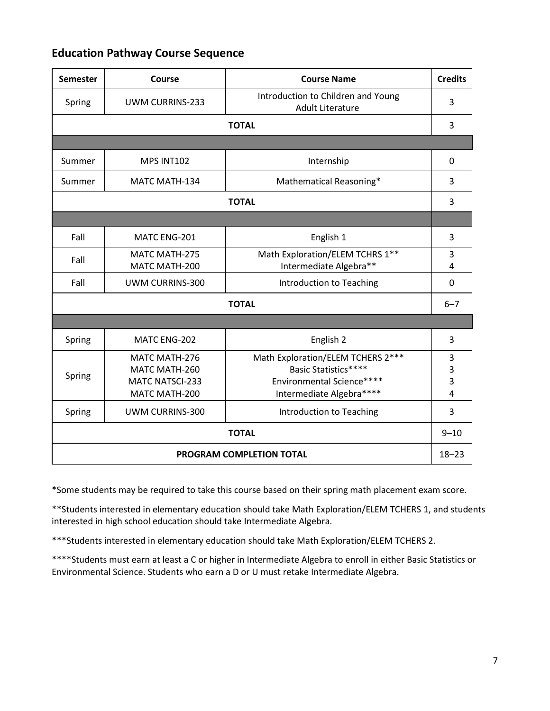#### **Education Pathway Course Sequence**

| <b>Semester</b>          | Course                 | <b>Course Name</b>                                            | <b>Credits</b> |  |  |
|--------------------------|------------------------|---------------------------------------------------------------|----------------|--|--|
| Spring                   | <b>UWM CURRINS-233</b> | Introduction to Children and Young<br><b>Adult Literature</b> | 3              |  |  |
|                          | <b>TOTAL</b>           |                                                               |                |  |  |
|                          |                        |                                                               |                |  |  |
| Summer                   | MPS INT102             | Internship                                                    | 0              |  |  |
| Summer                   | MATC MATH-134          | Mathematical Reasoning*                                       | 3              |  |  |
| <b>TOTAL</b>             |                        |                                                               |                |  |  |
|                          |                        |                                                               |                |  |  |
| Fall                     | MATC ENG-201           | English 1                                                     | 3              |  |  |
| Fall                     | MATC MATH-275          | Math Exploration/ELEM TCHRS 1**                               | 3              |  |  |
|                          | MATC MATH-200          | Intermediate Algebra**                                        | 4              |  |  |
| Fall                     | UWM CURRINS-300        | Introduction to Teaching                                      | $\mathbf 0$    |  |  |
| <b>TOTAL</b>             |                        |                                                               |                |  |  |
|                          |                        |                                                               |                |  |  |
| Spring                   | MATC ENG-202           | English 2                                                     | 3              |  |  |
|                          | MATC MATH-276          | Math Exploration/ELEM TCHERS 2 ***                            | 3              |  |  |
| Spring                   | MATC MATH-260          | Basic Statistics****                                          | 3              |  |  |
|                          | <b>MATC NATSCI-233</b> | Environmental Science****                                     | 3              |  |  |
|                          | MATC MATH-200          | Intermediate Algebra****                                      | 4              |  |  |
| Spring                   | UWM CURRINS-300        | Introduction to Teaching                                      | 3              |  |  |
| <b>TOTAL</b>             |                        |                                                               |                |  |  |
| PROGRAM COMPLETION TOTAL |                        |                                                               |                |  |  |

\*Some students may be required to take this course based on their spring math placement exam score.

\*\*Students interested in elementary education should take Math Exploration/ELEM TCHERS 1, and students interested in high school education should take Intermediate Algebra.

\*\*\*Students interested in elementary education should take Math Exploration/ELEM TCHERS 2.

\*\*\*\*Students must earn at least a C or higher in Intermediate Algebra to enroll in either Basic Statistics or Environmental Science. Students who earn a D or U must retake Intermediate Algebra.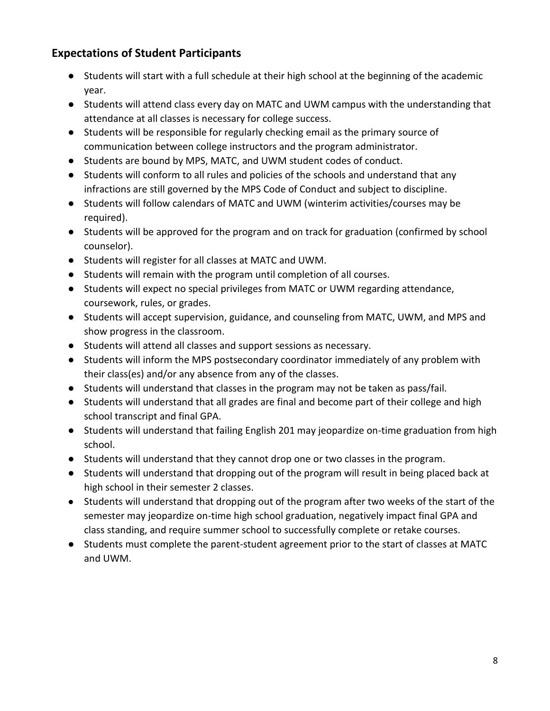#### **Expectations of Student Participants**

- Students will start with a full schedule at their high school at the beginning of the academic year.
- Students will attend class every day on MATC and UWM campus with the understanding that attendance at all classes is necessary for college success.
- Students will be responsible for regularly checking email as the primary source of communication between college instructors and the program administrator.
- Students are bound by MPS, MATC, and UWM student codes of conduct.
- Students will conform to all rules and policies of the schools and understand that any infractions are still governed by the MPS Code of Conduct and subject to discipline.
- Students will follow calendars of MATC and UWM (winterim activities/courses may be required).
- Students will be approved for the program and on track for graduation (confirmed by school counselor).
- Students will register for all classes at MATC and UWM.
- Students will remain with the program until completion of all courses.
- Students will expect no special privileges from MATC or UWM regarding attendance, coursework, rules, or grades.
- Students will accept supervision, guidance, and counseling from MATC, UWM, and MPS and show progress in the classroom.
- Students will attend all classes and support sessions as necessary.
- Students will inform the MPS postsecondary coordinator immediately of any problem with their class(es) and/or any absence from any of the classes.
- Students will understand that classes in the program may not be taken as pass/fail.
- Students will understand that all grades are final and become part of their college and high school transcript and final GPA.
- Students will understand that failing English 201 may jeopardize on-time graduation from high school.
- Students will understand that they cannot drop one or two classes in the program.
- Students will understand that dropping out of the program will result in being placed back at high school in their semester 2 classes.
- Students will understand that dropping out of the program after two weeks of the start of the semester may jeopardize on-time high school graduation, negatively impact final GPA and class standing, and require summer school to successfully complete or retake courses.
- Students must complete the parent-student agreement prior to the start of classes at MATC and UWM.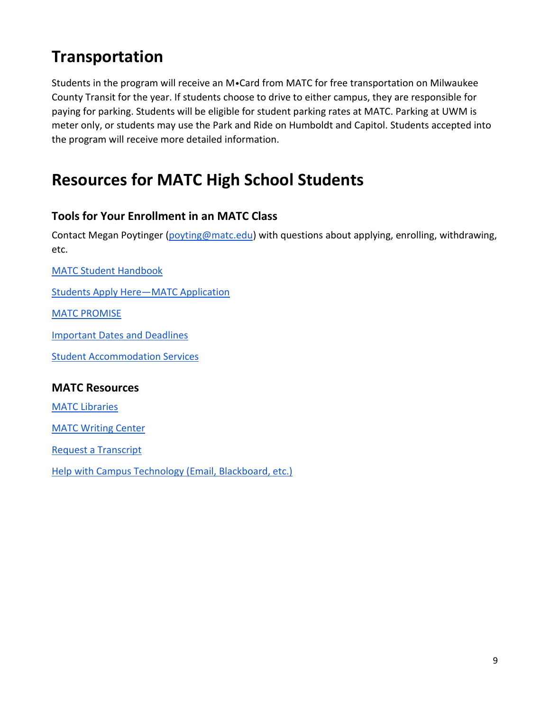# **Transportation**

Students in the program will receive an M•Card from MATC for free transportation on Milwaukee County Transit for the year. If students choose to drive to either campus, they are responsible for paying for parking. Students will be eligible for student parking rates at MATC. Parking at UWM is meter only, or students may use the Park and Ride on Humboldt and Capitol. Students accepted into the program will receive more detailed information.

# **Resources for MATC High School Students**

#### **Tools for Your Enrollment in an MATC Class**

Contact Megan Poytinger [\(poyting@matc.edu\)](mailto:poyting@matc.edu) with questions about applying, enrolling, withdrawing, etc.

[MATC Student Handbook](https://www.matc.edu/student-life-resources/student-life/2020-2021-student-handbook.pdf)

[Students Apply Here](https://www.matc.edu/apply/)—MATC Application

[MATC PROMISE](https://www.matc.edu/promise/)

[Important Dates and](https://www.matc.edu/costs-scholarships-aid/cost-aid-deadlines.html) Deadlines

[Student Accommodation Services](https://www.matc.edu/student-life-resources/student-support/student-accommodation-svcs.html)

#### **MATC Resources**

[MATC Libraries](https://guides.matc.edu/bookmatcedu)

**[MATC Writing Center](https://guides.matc.edu/ASC/DowntownWriting)** 

[Request a Transcript](https://www.matc.edu/admissions-registration/registration-records/request-transcript.html)

[Help with Campus Technology \(Email, Blackboard, etc.\)](https://www.matc.edu/student-life-resources/student-support/techelp/it-student-support.html)